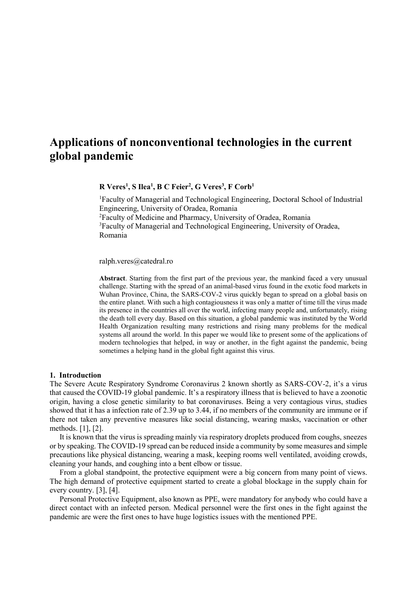# **Applications of nonconventional technologies in the current global pandemic**

**R Veres<sup>1</sup> , S Ilea<sup>1</sup> , B C Feier<sup>2</sup> , G Veres<sup>3</sup> , F Corb<sup>1</sup>**

<sup>1</sup>Faculty of Managerial and Technological Engineering, Doctoral School of Industrial Engineering, University of Oradea, Romania <sup>2</sup>Faculty of Medicine and Pharmacy, University of Oradea, Romania <sup>3</sup>Faculty of Managerial and Technological Engineering, University of Oradea, Romania

ralph.veres@catedral.ro

**Abstract**. Starting from the first part of the previous year, the mankind faced a very unusual challenge. Starting with the spread of an animal-based virus found in the exotic food markets in Wuhan Province, China, the SARS-COV-2 virus quickly began to spread on a global basis on the entire planet. With such a high contagiousness it was only a matter of time till the virus made its presence in the countries all over the world, infecting many people and, unfortunately, rising the death toll every day. Based on this situation, a global pandemic was instituted by the World Health Organization resulting many restrictions and rising many problems for the medical systems all around the world. In this paper we would like to present some of the applications of modern technologies that helped, in way or another, in the fight against the pandemic, being sometimes a helping hand in the global fight against this virus.

#### **1. Introduction**

The Severe Acute Respiratory Syndrome Coronavirus 2 known shortly as SARS-COV-2, it's a virus that caused the COVID-19 global pandemic. It's a respiratory illness that is believed to have a zoonotic origin, having a close genetic similarity to bat coronaviruses. Being a very contagious virus, studies showed that it has a infection rate of 2.39 up to 3.44, if no members of the community are immune or if there not taken any preventive measures like social distancing, wearing masks, vaccination or other methods. [1], [2].

It is known that the virus is spreading mainly via respiratory droplets produced from coughs, sneezes or by speaking. The COVID-19 spread can be reduced inside a community by some measures and simple precautions like physical distancing, wearing a mask, keeping rooms well ventilated, avoiding crowds, cleaning your hands, and coughing into a bent elbow or tissue.

From a global standpoint, the protective equipment were a big concern from many point of views. The high demand of protective equipment started to create a global blockage in the supply chain for every country. [3], [4].

Personal Protective Equipment, also known as PPE, were mandatory for anybody who could have a direct contact with an infected person. Medical personnel were the first ones in the fight against the pandemic are were the first ones to have huge logistics issues with the mentioned PPE.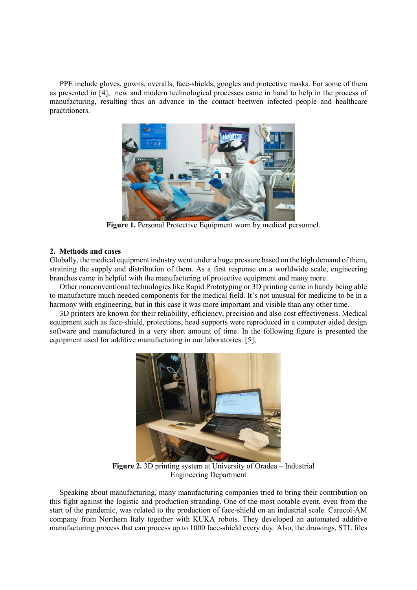PPE include gloves, gowns, overalls, face-shields, googles and protective masks. For some of them as presented in [4], new and modern technological processes came in hand to help in the process of manufacturing, resulting thus an advance in the contact beetwen infected people and healthcare practitioners.



Figure 1. Personal Protective Equipment worn by medical personnel.

## **2. Methods and cases**

Globally, the medical equipment industry went under a huge pressure based on the high demand of them, straining the supply and distribution of them. As a first response on a worldwide scale, engineering branches came in helpful with the manufacturing of protective equipment and many more.

Other nonconventional technologies like Rapid Prototyping or 3D printing came in handy being able to manufacture much needed components for the medical field. It's not unusual for medicine to be in a harmony with engineering, but in this case it was more important and visible than any other time.

3D printers are known for their reliability, efficiency, precision and also cost effectiveness. Medical equipment such as face-shield, protections, head supports were reproduced in a computer aided design software and manufactured in a very short amount of time. In the following figure is presented the equipment used for additive manufacturing in our laboratories. [5],



**Figure 2.** 3D printing system at University of Oradea – Industrial Engineering Department

Speaking about manufacturing, many manufacturing companies tried to bring their contribution on this fight against the logistic and production stranding. One of the most notable event, even from the start of the pandemic, was related to the production of face-shield on an industrial scale. Caracol-AM company from Northern Italy together with KUKA robots. They developed an automated additive manufacturing process that can process up to 1000 face-shield every day. Also, the drawings, STL files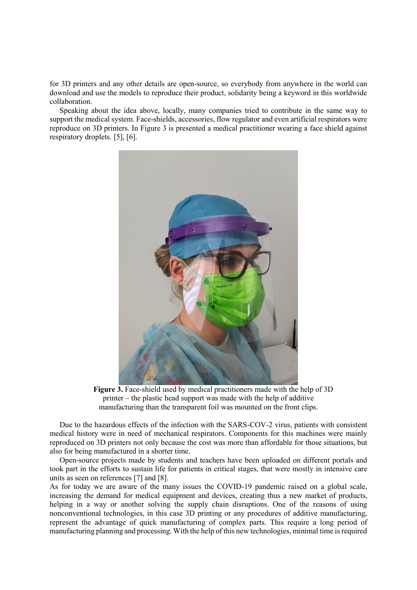for 3D printers and any other details are open-source, so everybody from anywhere in the world can download and use the models to reproduce their product, solidarity being a keyword in this worldwide collaboration.

Speaking about the idea above, locally, many companies tried to contribute in the same way to support the medical system. Face-shields, accessories, flow regulator and even artificial respirators were reproduce on 3D printers. In Figure 3 is presented a medical practitioner wearing a face shield against respiratory droplets. [5], [6].



**Figure 3.** Face-shield used by medical practitioners made with the help of 3D printer – the plastic head support was made with the help of additive manufacturing than the transparent foil was mounted on the front clips.

Due to the hazardous effects of the infection with the SARS-COV-2 virus, patients with consistent medical history were in need of mechanical respirators. Components for this machines were mainly reproduced on 3D printers not only because the cost was more than affordable for those situations, but also for being manufactured in a shorter time.

Open-source projects made by students and teachers have been uploaded on different portals and took part in the efforts to sustain life for patients in critical stages, that were mostly in intensive care units as seen on references [7] and [8].

As for today we are aware of the many issues the COVID-19 pandemic raised on a global scale, increasing the demand for medical equipment and devices, creating thus a new market of products, helping in a way or another solving the supply chain disruptions. One of the reasons of using nonconventional technologies, in this case 3D printing or any procedures of additive manufacturing, represent the advantage of quick manufacturing of complex parts. This require a long period of manufacturing planning and processing. With the help of this new technologies, minimal time is required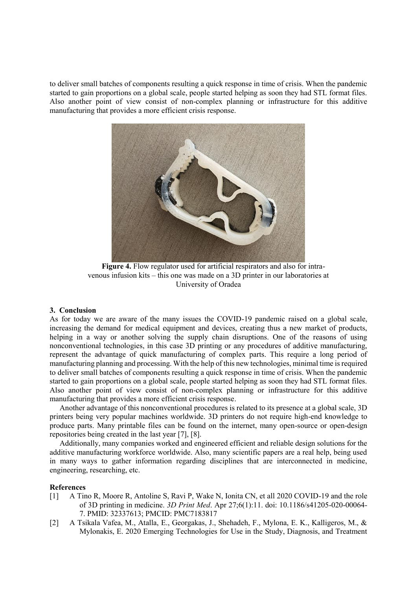to deliver small batches of components resulting a quick response in time of crisis. When the pandemic started to gain proportions on a global scale, people started helping as soon they had STL format files. Also another point of view consist of non-complex planning or infrastructure for this additive manufacturing that provides a more efficient crisis response.



**Figure 4.** Flow regulator used for artificial respirators and also for intravenous infusion kits – this one was made on a 3D printer in our laboratories at University of Oradea

### **3. Conclusion**

As for today we are aware of the many issues the COVID-19 pandemic raised on a global scale, increasing the demand for medical equipment and devices, creating thus a new market of products, helping in a way or another solving the supply chain disruptions. One of the reasons of using nonconventional technologies, in this case 3D printing or any procedures of additive manufacturing, represent the advantage of quick manufacturing of complex parts. This require a long period of manufacturing planning and processing. With the help of this new technologies, minimal time is required to deliver small batches of components resulting a quick response in time of crisis. When the pandemic started to gain proportions on a global scale, people started helping as soon they had STL format files. Also another point of view consist of non-complex planning or infrastructure for this additive manufacturing that provides a more efficient crisis response.

Another advantage of this nonconventional procedures is related to its presence at a global scale, 3D printers being very popular machines worldwide. 3D printers do not require high-end knowledge to produce parts. Many printable files can be found on the internet, many open-source or open-design repositories being created in the last year [7], [8].

Additionally, many companies worked and engineered efficient and reliable design solutions for the additive manufacturing workforce worldwide. Also, many scientific papers are a real help, being used in many ways to gather information regarding disciplines that are interconnected in medicine, engineering, researching, etc.

## **References**

- [1] A Tino R, Moore R, Antoline S, Ravi P, Wake N, Ionita CN, et all 2020 COVID-19 and the role of 3D printing in medicine. *3D Print Med*. Apr 27;6(1):11. doi: 10.1186/s41205-020-00064- 7. PMID: 32337613; PMCID: PMC7183817
- [2] A Tsikala Vafea, M., Atalla, E., Georgakas, J., Shehadeh, F., Mylona, E. K., Kalligeros, M., & Mylonakis, E. 2020 Emerging Technologies for Use in the Study, Diagnosis, and Treatment